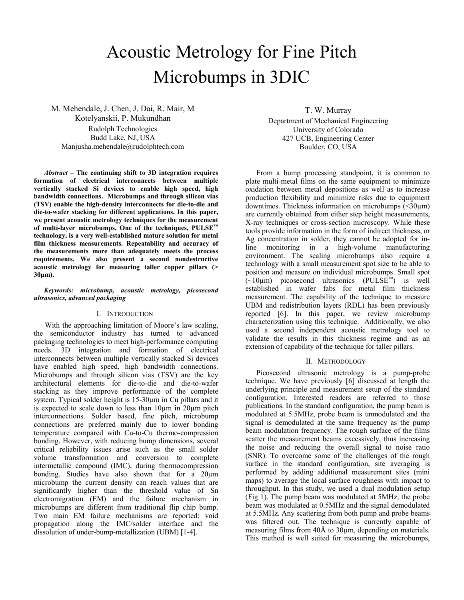# Acoustic Metrology for Fine Pitch Microbumps in 3DIC

M. Mehendale, J. Chen, J. Dai, R. Mair, M Kotelyanskii, P. Mukundhan Rudolph Technologies Budd Lake, NJ, USA Manjusha.mehendale@rudolphtech.com

*Abstract* **– The continuing shift to 3D integration requires formation of electrical interconnects between multiple vertically stacked Si devices to enable high speed, high bandwidth connections. Microbumps and through silicon vias (TSV) enable the high-density interconnects for die-to-die and die-to-wafer stacking for different applications. In this paper, we present acoustic metrology techniques for the measurement of multi-layer microbumps. One of the techniques, PULSE™ technology, is a very well-established mature solution for metal film thickness measurements. Repeatability and accuracy of the measurements more than adequately meets the process requirements. We also present a second nondestructive acoustic metrology for measuring taller copper pillars (> 30µm).** 

# *Keywords: microbump, acoustic metrology, picosecond ultrasonics, advanced packaging*

# I. INTRODUCTION

With the approaching limitation of Moore's law scaling, the semiconductor industry has turned to advanced packaging technologies to meet high-performance computing needs. 3D integration and formation of electrical interconnects between multiple vertically stacked Si devices have enabled high speed, high bandwidth connections. Microbumps and through silicon vias (TSV) are the key architectural elements for die-to-die and die-to-wafer stacking as they improve performance of the complete system. Typical solder height is 15-30µm in Cu pillars and it is expected to scale down to less than  $10\mu m$  in  $20\mu m$  pitch interconnections. Solder based, fine pitch, microbump connections are preferred mainly due to lower bonding temperature compared with Cu-to-Cu thermo-compression bonding. However, with reducing bump dimensions, several critical reliability issues arise such as the small solder volume transformation and conversion to complete intermetallic compound (IMC), during thermocompression bonding. Studies have also shown that for a 20μm microbump the current density can reach values that are significantly higher than the threshold value of Sn electromigration (EM) and the failure mechanism in microbumps are different from traditional flip chip bump. Two main EM failure mechanisms are reported: void propagation along the IMC/solder interface and the dissolution of under-bump-metallization (UBM) [1-4].

T. W. Murray Department of Mechanical Engineering University of Colorado 427 UCB, Engineering Center Boulder, CO, USA

From a bump processing standpoint, it is common to plate multi-metal films on the same equipment to minimize oxidation between metal depositions as well as to increase production flexibility and minimize risks due to equipment downtimes. Thickness information on microbumps (<30µm) are currently obtained from either step height measurements, X-ray techniques or cross-section microscopy. While these tools provide information in the form of indirect thickness, or Ag concentration in solder, they cannot be adopted for inline monitoring in a high-volume manufacturing environment. The scaling microbumps also require a technology with a small measurement spot size to be able to position and measure on individual microbumps. Small spot  $(-10\mu m)$  picosecond ultrasonics (PULSE<sup>™</sup>) is well established in wafer fabs for metal film thickness measurement. The capability of the technique to measure UBM and redistribution layers (RDL) has been previously reported [6]. In this paper, we review microbump characterization using this technique. Additionally, we also used a second independent acoustic metrology tool to validate the results in this thickness regime and as an extension of capability of the technique for taller pillars.

## II. METHODOLOGY

Picosecond ultrasonic metrology is a pump-probe technique. We have previously [6] discussed at length the underlying principle and measurement setup of the standard configuration. Interested readers are referred to those publications. In the standard configuration, the pump beam is modulated at 5.5MHz, probe beam is unmodulated and the signal is demodulated at the same frequency as the pump beam modulation frequency. The rough surface of the films scatter the measurement beams excessively, thus increasing the noise and reducing the overall signal to noise ratio (SNR). To overcome some of the challenges of the rough surface in the standard configuration, site averaging is performed by adding additional measurement sites (mini maps) to average the local surface roughness with impact to throughput. In this study, we used a dual modulation setup (Fig 1). The pump beam was modulated at 5MHz, the probe beam was modulated at 0.5MHz and the signal demodulated at 5.5MHz. Any scattering from both pump and probe beams was filtered out. The technique is currently capable of measuring films from 40Å to 30 $\mu$ m, depending on materials. This method is well suited for measuring the microbumps,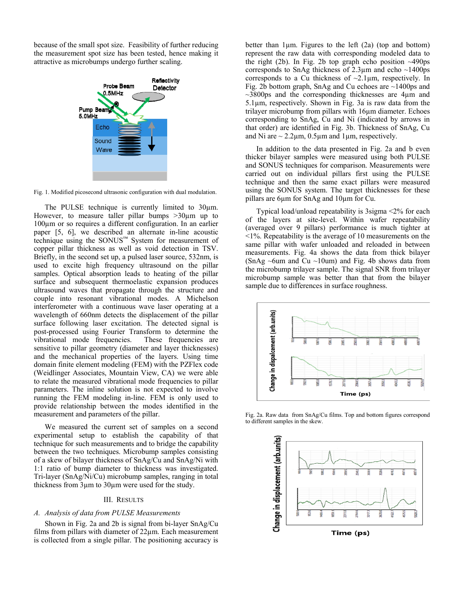because of the small spot size. Feasibility of further reducing the measurement spot size has been tested, hence making it attractive as microbumps undergo further scaling.



Fig. 1. Modified picosecond ultrasonic configuration with dual modulation.

The PULSE technique is currently limited to 30 µm. However, to measure taller pillar bumps  $>30\mu$ m up to 100µm or so requires a different configuration. In an earlier paper [5, 6], we described an alternate in-line acoustic technique using the SONUS™ System for measurement of copper pillar thickness as well as void detection in TSV. Briefly, in the second set up, a pulsed laser source, 532nm, is used to excite high frequency ultrasound on the pillar samples. Optical absorption leads to heating of the pillar surface and subsequent thermoelastic expansion produces ultrasound waves that propagate through the structure and couple into resonant vibrational modes. A Michelson interferometer with a continuous wave laser operating at a wavelength of 660nm detects the displacement of the pillar surface following laser excitation. The detected signal is post-processed using Fourier Transform to determine the vibrational mode frequencies. These frequencies are sensitive to pillar geometry (diameter and layer thicknesses) and the mechanical properties of the layers. Using time domain finite element modeling (FEM) with the PZFlex code (Weidlinger Associates, Mountain View, CA) we were able to relate the measured vibrational mode frequencies to pillar parameters. The inline solution is not expected to involve running the FEM modeling in-line. FEM is only used to provide relationship between the modes identified in the measurement and parameters of the pillar.

We measured the current set of samples on a second experimental setup to establish the capability of that technique for such measurements and to bridge the capability between the two techniques. Microbump samples consisting of a skew of bilayer thickness of SnAg/Cu and SnAg/Ni with 1:1 ratio of bump diameter to thickness was investigated. Tri-layer (SnAg/Ni/Cu) microbump samples, ranging in total thickness from 3µm to 30µm were used for the study.

# III. RESULTS

# *A. Analysis of data from PULSE Measurements*

Shown in Fig. 2a and 2b is signal from bi-layer SnAg/Cu films from pillars with diameter of 22µm. Each measurement is collected from a single pillar. The positioning accuracy is

better than 1µm. Figures to the left (2a) (top and bottom) represent the raw data with corresponding modeled data to the right (2b). In Fig. 2b top graph echo position  $\sim$ 490ps corresponds to SnAg thickness of  $2.3\mu$ m and echo ~1400ps corresponds to a Cu thickness of  $\sim$ 2.1 $\mu$ m, respectively. In Fig. 2b bottom graph, SnAg and Cu echoes are ~1400ps and  $\sim$ 3800ps and the corresponding thicknesses are 4 $\mu$ m and 5.1µm, respectively. Shown in Fig. 3a is raw data from the trilayer microbump from pillars with 16µm diameter. Echoes corresponding to SnAg, Cu and Ni (indicated by arrows in that order) are identified in Fig. 3b. Thickness of SnAg, Cu and Ni are  $\sim$  2.2 $\mu$ m, 0.5 $\mu$ m and 1 $\mu$ m, respectively.

In addition to the data presented in Fig. 2a and b even thicker bilayer samples were measured using both PULSE and SONUS techniques for comparison. Measurements were carried out on individual pillars first using the PULSE technique and then the same exact pillars were measured using the SONUS system. The target thicknesses for these pillars are 6µm for SnAg and 10µm for Cu.

Typical load/unload repeatability is 3sigma <2% for each of the layers at site-level. Within wafer repeatability (averaged over 9 pillars) performance is much tighter at  $\leq$ 1%. Repeatability is the average of 10 measurements on the same pillar with wafer unloaded and reloaded in between measurements. Fig. 4a shows the data from thick bilayer (SnAg ~6um and Cu ~10um) and Fig. 4b shows data from the microbump trilayer sample. The signal SNR from trilayer microbump sample was better than that from the bilayer sample due to differences in surface roughness.



Fig. 2a. Raw data from SnAg/Cu films. Top and bottom figures correspond to different samples in the skew.

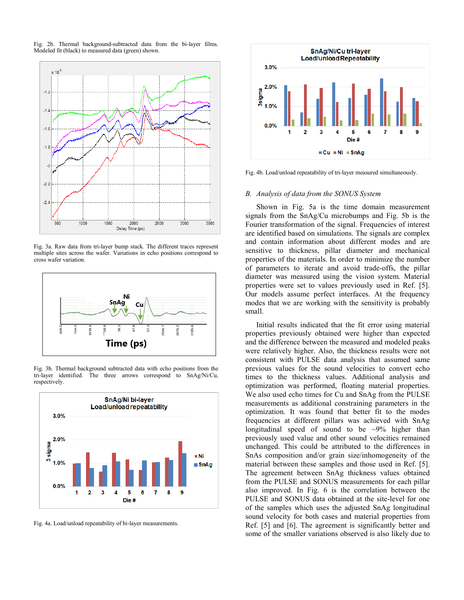Fig. 2b. Thermal background-subtracted data from the bi-layer films. Modeled fit (black) to measured data (green) shown.



Fig. 3a. Raw data from tri-layer bump stack. The different traces represent multiple sites across the wafer. Variations in echo positions correspond to cross wafer variation.



Fig. 3b. Thermal background subtracted data with echo positions from the tri-layer identified. The three arrows correspond to SnAg/Ni/Cu, respectively.



Fig. 4a. Load/unload repeatability of bi-layer measurements.



Fig. 4b. Load/unload repeatability of tri-layer measured simultaneously.

#### *B. Analysis of data from the SONUS System*

Shown in Fig. 5a is the time domain measurement signals from the SnAg/Cu microbumps and Fig. 5b is the Fourier transformation of the signal. Frequencies of interest are identified based on simulations. The signals are complex and contain information about different modes and are sensitive to thickness, pillar diameter and mechanical properties of the materials. In order to minimize the number of parameters to iterate and avoid trade-offs, the pillar diameter was measured using the vision system. Material properties were set to values previously used in Ref. [5]. Our models assume perfect interfaces. At the frequency modes that we are working with the sensitivity is probably small.

Initial results indicated that the fit error using material properties previously obtained were higher than expected and the difference between the measured and modeled peaks were relatively higher. Also, the thickness results were not consistent with PULSE data analysis that assumed same previous values for the sound velocities to convert echo times to the thickness values. Additional analysis and optimization was performed, floating material properties. We also used echo times for Cu and SnAg from the PULSE measurements as additional constraining parameters in the optimization. It was found that better fit to the modes frequencies at different pillars was achieved with SnAg longitudinal speed of sound to be ~9% higher than previously used value and other sound velocities remained unchanged. This could be attributed to the differences in SnAs composition and/or grain size/inhomogeneity of the material between these samples and those used in Ref. [5]. The agreement between SnAg thickness values obtained from the PULSE and SONUS measurements for each pillar also improved. In Fig. 6 is the correlation between the PULSE and SONUS data obtained at the site-level for one of the samples which uses the adjusted SnAg longitudinal sound velocity for both cases and material properties from Ref. [5] and [6]. The agreement is significantly better and some of the smaller variations observed is also likely due to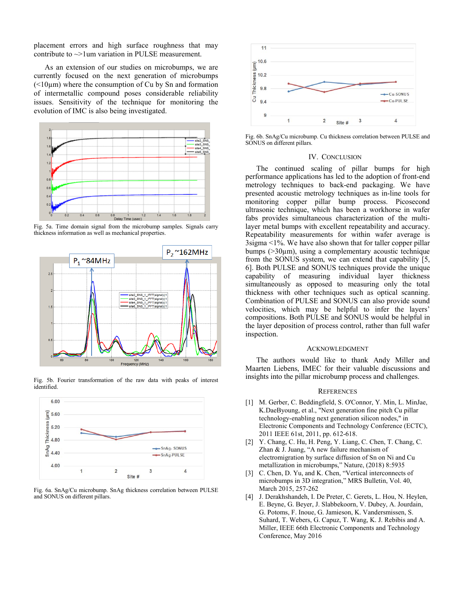placement errors and high surface roughness that may contribute to ~>1um variation in PULSE measurement.

As an extension of our studies on microbumps, we are currently focused on the next generation of microbumps  $\leq$ 10 $\mu$ m) where the consumption of Cu by Sn and formation of intermetallic compound poses considerable reliability issues. Sensitivity of the technique for monitoring the evolution of IMC is also being investigated.



Fig. 5a. Time domain signal from the microbump samples. Signals carry thickness information as well as mechanical properties.



Fig. 5b. Fourier transformation of the raw data with peaks of interest identified.



Fig. 6a. SnAg/Cu microbump. SnAg thickness correlation between PULSE and SONUS on different pillars.



Fig. 6b. SnAg/Cu microbump. Cu thickness correlation between PULSE and SONUS on different pillars.

## IV. CONCLUSION

The continued scaling of pillar bumps for high performance applications has led to the adoption of front-end metrology techniques to back-end packaging. We have presented acoustic metrology techniques as in-line tools for monitoring copper pillar bump process. Picosecond ultrasonic technique, which has been a workhorse in wafer fabs provides simultaneous characterization of the multilayer metal bumps with excellent repeatability and accuracy. Repeatability measurements for within wafer average is 3sigma <1%. We have also shown that for taller copper pillar bumps (>30µm), using a complementary acoustic technique from the SONUS system, we can extend that capability [5, 6]. Both PULSE and SONUS techniques provide the unique capability of measuring individual layer thickness simultaneously as opposed to measuring only the total thickness with other techniques such as optical scanning. Combination of PULSE and SONUS can also provide sound velocities, which may be helpful to infer the layers' compositions. Both PULSE and SONUS would be helpful in the layer deposition of process control, rather than full wafer inspection.

# ACKNOWLEDGMENT

The authors would like to thank Andy Miller and Maarten Liebens, IMEC for their valuable discussions and insights into the pillar microbump process and challenges.

# **REFERENCES**

- [1] M. Gerber, C. Beddingfield, S. O'Connor, Y. Min, L. MinJae, K.DaeByoung, et al., "Next generation fine pitch Cu pillar technology-enabling next generation silicon nodes," in Electronic Components and Technology Conference (ECTC), 2011 IEEE 61st, 2011, pp. 612-618.
- [2] Y. Chang, C. Hu, H. Peng, Y. Liang, C. Chen, T. Chang, C. Zhan & J. Juang, "A new failure mechanism of electromigration by surface diffusion of Sn on Ni and Cu metallization in microbumps," Nature, (2018) 8:5935
- [3] C. Chen, D. Yu, and K. Chen, "Vertical interconnects of microbumps in 3D integration," MRS Bulletin, Vol. 40, March 2015, 257-262
- [4] J. Derakhshandeh, I. De Preter, C. Gerets, L. Hou, N. Heylen, E. Beyne, G. Beyer, J. Slabbekoorn, V. Dubey, A. Jourdain, G. Potoms, F. Inoue, G. Jamieson, K. Vandersmissen, S. Suhard, T. Webers, G. Capuz, T. Wang, K. J. Rebibis and A. Miller, IEEE 66th Electronic Components and Technology Conference, May 2016